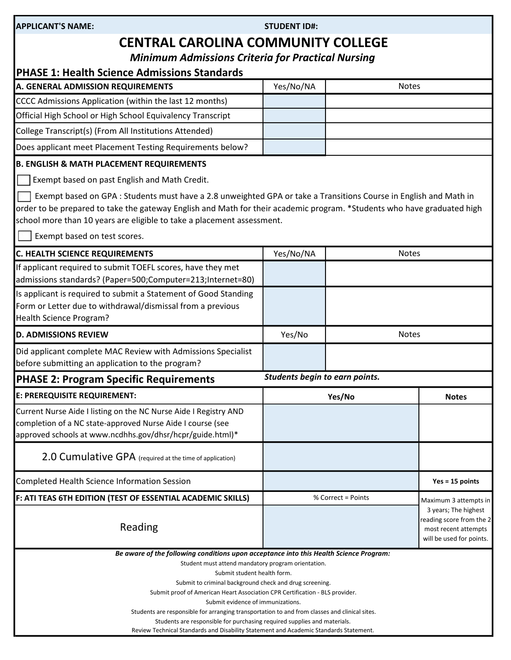| APPLICANT'S NAME: |  |
|-------------------|--|
|-------------------|--|

STUDENT ID#:

# CENTRAL CAROLINA COMMUNITY COLLEGE

Minimum Admissions Criteria for Practical Nursing

| <b>PHASE 1: Health Science Admissions Standards</b>                                                                                                                                                                                                                                                                                                                                                                                                                                                                                     |                                |                    |                                                                                                      |  |
|-----------------------------------------------------------------------------------------------------------------------------------------------------------------------------------------------------------------------------------------------------------------------------------------------------------------------------------------------------------------------------------------------------------------------------------------------------------------------------------------------------------------------------------------|--------------------------------|--------------------|------------------------------------------------------------------------------------------------------|--|
| A. GENERAL ADMISSION REQUIREMENTS                                                                                                                                                                                                                                                                                                                                                                                                                                                                                                       | Yes/No/NA                      | <b>Notes</b>       |                                                                                                      |  |
| CCCC Admissions Application (within the last 12 months)                                                                                                                                                                                                                                                                                                                                                                                                                                                                                 |                                |                    |                                                                                                      |  |
| Official High School or High School Equivalency Transcript                                                                                                                                                                                                                                                                                                                                                                                                                                                                              |                                |                    |                                                                                                      |  |
| College Transcript(s) (From All Institutions Attended)                                                                                                                                                                                                                                                                                                                                                                                                                                                                                  |                                |                    |                                                                                                      |  |
| Does applicant meet Placement Testing Requirements below?                                                                                                                                                                                                                                                                                                                                                                                                                                                                               |                                |                    |                                                                                                      |  |
| <b>B. ENGLISH &amp; MATH PLACEMENT REQUIREMENTS</b>                                                                                                                                                                                                                                                                                                                                                                                                                                                                                     |                                |                    |                                                                                                      |  |
| Exempt based on past English and Math Credit.                                                                                                                                                                                                                                                                                                                                                                                                                                                                                           |                                |                    |                                                                                                      |  |
| Exempt based on GPA: Students must have a 2.8 unweighted GPA or take a Transitions Course in English and Math in<br>order to be prepared to take the gateway English and Math for their academic program. *Students who have graduated high<br>school more than 10 years are eligible to take a placement assessment.                                                                                                                                                                                                                   |                                |                    |                                                                                                      |  |
| Exempt based on test scores.                                                                                                                                                                                                                                                                                                                                                                                                                                                                                                            |                                |                    |                                                                                                      |  |
| <b>C. HEALTH SCIENCE REQUIREMENTS</b>                                                                                                                                                                                                                                                                                                                                                                                                                                                                                                   | Yes/No/NA                      | <b>Notes</b>       |                                                                                                      |  |
| If applicant required to submit TOEFL scores, have they met<br>admissions standards? (Paper=500;Computer=213;Internet=80)                                                                                                                                                                                                                                                                                                                                                                                                               |                                |                    |                                                                                                      |  |
| Is applicant is required to submit a Statement of Good Standing<br>Form or Letter due to withdrawal/dismissal from a previous<br>Health Science Program?                                                                                                                                                                                                                                                                                                                                                                                |                                |                    |                                                                                                      |  |
| <b>D. ADMISSIONS REVIEW</b>                                                                                                                                                                                                                                                                                                                                                                                                                                                                                                             | Yes/No                         |                    | <b>Notes</b>                                                                                         |  |
| Did applicant complete MAC Review with Admissions Specialist<br>before submitting an application to the program?                                                                                                                                                                                                                                                                                                                                                                                                                        |                                |                    |                                                                                                      |  |
| <b>PHASE 2: Program Specific Requirements</b>                                                                                                                                                                                                                                                                                                                                                                                                                                                                                           | Students begin to earn points. |                    |                                                                                                      |  |
| E: PREREQUISITE REQUIREMENT:                                                                                                                                                                                                                                                                                                                                                                                                                                                                                                            | Yes/No                         |                    | <b>Notes</b>                                                                                         |  |
| Current Nurse Aide I listing on the NC Nurse Aide I Registry AND<br>completion of a NC state-approved Nurse Aide I course (see<br>approved schools at www.ncdhhs.gov/dhsr/hcpr/guide.html)*                                                                                                                                                                                                                                                                                                                                             |                                |                    |                                                                                                      |  |
| 2.0 Cumulative GPA (required at the time of application)                                                                                                                                                                                                                                                                                                                                                                                                                                                                                |                                |                    |                                                                                                      |  |
| Completed Health Science Information Session                                                                                                                                                                                                                                                                                                                                                                                                                                                                                            |                                |                    | $Yes = 15 points$                                                                                    |  |
| F: ATI TEAS 6TH EDITION (TEST OF ESSENTIAL ACADEMIC SKILLS)                                                                                                                                                                                                                                                                                                                                                                                                                                                                             |                                | % Correct = Points | Maximum 3 attempts in                                                                                |  |
| Reading                                                                                                                                                                                                                                                                                                                                                                                                                                                                                                                                 |                                |                    | 3 years; The highest<br>reading score from the 2<br>most recent attempts<br>will be used for points. |  |
| Be aware of the following conditions upon acceptance into this Health Science Program:<br>Student must attend mandatory program orientation.<br>Submit student health form.<br>Submit to criminal background check and drug screening<br>Submit proof of American Heart Association CPR Certification - BLS provider.<br>Submit evidence of immunizations.<br>Students are responsible for arranging transportation to and from classes and clinical sites.<br>Students are responsible for purchasing required supplies and materials. |                                |                    |                                                                                                      |  |
| Review Technical Standards and Disability Statement and Academic Standards Statement.                                                                                                                                                                                                                                                                                                                                                                                                                                                   |                                |                    |                                                                                                      |  |